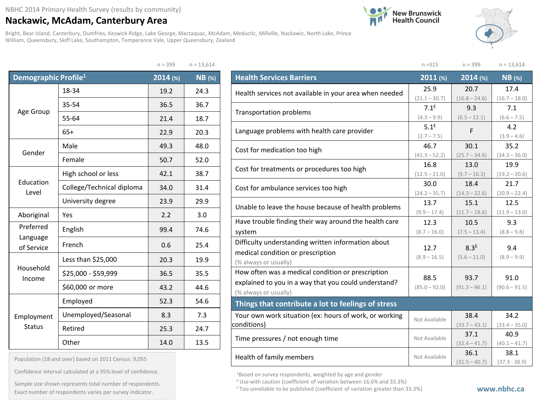## **Nackawic, McAdam, Canterbury Area**

Bright, Bear Island, Canterbury, Dumfries, Keswick Ridge, Lake George, Mactaquac, McAdam, Meductic, Millville, Nackawic, North Lake, Prince William, Queensbury, Skiff Lake, Southampton, Temperance Vale, Upper Queensbury, Zealand

 $n - 200$   $n - 12,614$ 





| Demographic Profile <sup>1</sup> |                             | 2014 (%) | <b>NB</b> (%) |
|----------------------------------|-----------------------------|----------|---------------|
|                                  | 18-34                       | 19.2     | 24.3          |
|                                  | 35-54                       | 36.5     | 36.7          |
| Age Group                        | 55-64                       | 21.4     | 18.7          |
|                                  | $65+$                       | 22.9     | 20.3          |
| Gender                           | Male                        | 49.3     | 48.0          |
|                                  | Female                      | 50.7     | 52.0          |
|                                  | High school or less<br>42.1 |          | 38.7          |
| Education<br>Level               | College/Technical diploma   | 34.0     | 31.4          |
|                                  | University degree           | 23.9     | 29.9          |
| Aboriginal                       | Yes                         | 2.2      | 3.0           |
| Preferred                        | English                     |          | 74.6          |
| Language<br>of Service           | French                      | 0.6      | 25.4          |
|                                  | Less than \$25,000          | 20.3     | 19.9          |
| Household<br>Income              | \$25,000 - \$59,999         | 36.5     | 35.5          |
|                                  | \$60,000 or more            | 43.2     | 44.6          |
|                                  | Employed                    | 52.3     | 54.6          |
| Employment                       | Unemployed/Seasonal         | 8.3      | 7.3           |
| <b>Status</b>                    | Retired                     | 25.3     | 24.7          |
|                                  | Other                       | 14.0     | 13.5          |

Population (18 and over) based on 2011 Census: 9,055

Confidence interval calculated at a 95% level of confidence.

Exact number of respondents varies per survey indicator.<br>Exact number of respondents varies per survey indicator. Sample size shown represents total number of respondents.

|                                                        | $n = 315$                | $n = 399$        | $n = 13,614$         |  |  |  |  |
|--------------------------------------------------------|--------------------------|------------------|----------------------|--|--|--|--|
| <b>Health Services Barriers</b>                        | $2011$ (%)               | 2014 (%)         | $NB$ (%)             |  |  |  |  |
| Health services not available in your area when needed | 25.9                     | 20.7             | 17.4                 |  |  |  |  |
|                                                        | $(21.1 - 30.7)$          | $(16.8 - 24.6)$  | $(16.7 - 18.0)$      |  |  |  |  |
| <b>Transportation problems</b>                         | 7.1 <sup>E</sup>         | 9.3              | 7.1                  |  |  |  |  |
|                                                        | $(4.3 - 9.9)$            | $(6.5 - 12.1)$   | $(6.6 - 7.5)$        |  |  |  |  |
| Language problems with health care provider            | $5.1^E$<br>$(2.7 - 7.5)$ | F                | 4.2<br>$(3.9 - 4.6)$ |  |  |  |  |
|                                                        | 46.7                     | 30.1             | 35.2                 |  |  |  |  |
| Cost for medication too high                           | $(41.3 - 52.2)$          | $(25.7 - 34.6)$  | $(34.3 - 36.0)$      |  |  |  |  |
|                                                        | 16.8                     | 13.0             | 19.9                 |  |  |  |  |
| Cost for treatments or procedures too high             | $(12.5 - 21.0)$          | $(9.7 - 16.3)$   | $(19.2 - 20.6)$      |  |  |  |  |
|                                                        | 30.0                     | 18.4             | 21.7                 |  |  |  |  |
| Cost for ambulance services too high                   | $(24.2 - 35.7)$          | $(14.3 - 22.6)$  | $(20.9 - 22.4)$      |  |  |  |  |
| Unable to leave the house because of health problems   | 13.7                     | 15.1             | 12.5                 |  |  |  |  |
|                                                        | $(9.9 - 17.4)$           | $(11.7 - 18.6)$  | $(11.9 - 13.0)$      |  |  |  |  |
| Have trouble finding their way around the health care  | 12.3                     | 10.5             | 9.3                  |  |  |  |  |
| system                                                 | $(8.7 - 16.0)$           | $(7.5 - 13.4)$   | $(8.8 - 9.8)$        |  |  |  |  |
| Difficulty understanding written information about     | 12.7                     | 8.3 <sup>E</sup> | 9.4                  |  |  |  |  |
| medical condition or prescription                      | $(8.9 - 16.5)$           | $(5.6 - 11.0)$   | $(8.9 - 9.9)$        |  |  |  |  |
| (% always or usually)                                  |                          |                  |                      |  |  |  |  |
| How often was a medical condition or prescription      | 88.5                     | 93.7             | 91.0                 |  |  |  |  |
| explained to you in a way that you could understand?   | $(85.0 - 92.0)$          | $(91.3 - 96.1)$  | $(90.6 - 91.5)$      |  |  |  |  |
| (% always or usually)                                  |                          |                  |                      |  |  |  |  |
| Things that contribute a lot to feelings of stress     |                          |                  |                      |  |  |  |  |
| Your own work situation (ex: hours of work, or working | Not Available            | 38.4             | 34.2                 |  |  |  |  |
| conditions)                                            |                          | $(33.7 - 43.1)$  | $(33.4 - 35.0)$      |  |  |  |  |
| Time pressures / not enough time                       | Not Available            | 37.1             | 40.9                 |  |  |  |  |
|                                                        |                          | $(32.4 - 41.7)$  | $(40.1 - 41.7)$      |  |  |  |  |
| Health of family members                               | Not Available            | 36.1             | 38.1                 |  |  |  |  |
|                                                        |                          | $(31.5 - 40.7)$  | $(37.3 - 38.9)$      |  |  |  |  |

1Based on survey respondents, weighted by age and gender

 $E$  Use with caution (coefficient of variation between 16.6% and 33.3%)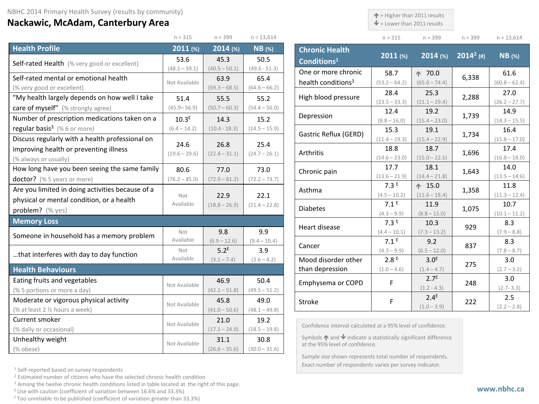## **Nackawic, McAdam, Canterbury Area**

 $\uparrow$  = Higher than 2011 results

 $\mathbf{\Psi}$  = Lower than 2011 results

| $n = 315$ | $n = 399$ | $n = 399$ | $n = 13,614$ |
|-----------|-----------|-----------|--------------|

|                                                  | $n = 315$         | $n = 399$        | $n = 13,614$    |                                     |
|--------------------------------------------------|-------------------|------------------|-----------------|-------------------------------------|
| <b>Health Profile</b>                            | $2011$ (%)        | 2014 (%)         | $NB$ (%)        | <b>Chronic Health</b>               |
| Self-rated Health (% very good or excellent)     | 53.6              | 45.3             | 50.5            | Conditions <sup>1</sup>             |
|                                                  | $(48.1 - 59.1)$   | $(40.5 - 50.1)$  | $(49.6 - 51.3)$ | One or more chro                    |
| Self-rated mental or emotional health            | Not Available     | 63.9             | 65.4            | health conditions                   |
| (% very good or excellent)                       |                   | $(59.3 - 68.5)$  | $(64.6 - 66.2)$ |                                     |
| "My health largely depends on how well I take    | 51.4              | 55.5             | 55.2            | High blood pressu                   |
| care of myself" (% strongly agree)               | $(45.9 - 56.9)$   | $(50.7 - 60.3)$  | $(54.4 - 56.0)$ | Depression                          |
| Number of prescription medications taken on a    | 10.3 <sup>E</sup> | 14.3             | 15.2            |                                     |
| regular basis <sup>3</sup> (%6 or more)          | $(6.4 - 14.2)$    | $(10.4 - 18.3)$  | $(14.5 - 15.9)$ | Gastric Reflux (GI                  |
| Discuss regularly with a health professional on  | 24.6              | 26.8             | 25.4            |                                     |
| improving health or preventing illness           | $(19.6 - 29.6)$   | $(22.4 - 31.1)$  | $(24.7 - 26.1)$ | Arthritis                           |
| (% always or usually)                            |                   |                  |                 |                                     |
| How long have you been seeing the same family    | 80.6              | 77.0             | 73.0            | Chronic pain                        |
| doctor? (% 5 years or more)                      | $(76.2 - 85.0)$   | $(72.9 - 81.2)$  | $(72.2 - 73.7)$ |                                     |
| Are you limited in doing activities because of a | Not               | 22.9             | 22.1            | Asthma                              |
| physical or mental condition, or a health        | Available         | $(18.8 - 26.9)$  | $(21.4 - 22.8)$ |                                     |
| problem? (% yes)                                 |                   |                  |                 | <b>Diabetes</b>                     |
| <b>Memory Loss</b>                               |                   |                  |                 | Heart disease                       |
| Someone in household has a memory problem        | Not               | 9.8              | 9.9             |                                     |
|                                                  | Available         | $(6.9 - 12.6)$   | $(9.4 - 10.4)$  | Cancer                              |
| that interferes with day to day function         | Not               | 5.2 <sup>E</sup> | 3.9             |                                     |
|                                                  | Available         | $(3.1 - 7.4)$    | $(3.6 - 4.2)$   | Mood disorder of                    |
| <b>Health Behaviours</b>                         |                   |                  |                 | than depression                     |
| Eating fruits and vegetables                     | Not Available     | 46.9             | 50.4            | Emphysema or CO                     |
| (% 5 portions or more a day)                     |                   | $(42.1 - 51.8)$  | $(49.5 - 51.2)$ |                                     |
| Moderate or vigorous physical activity           | Not Available     | 45.8             | 49.0            | Stroke                              |
| (% at least 2 1/2 hours a week)                  |                   | $(41.0 - 50.6)$  | $(48.1 - 49.8)$ |                                     |
| Current smoker                                   | Not Available     | 21.0             | 19.2            | Confidence interval                 |
| (% daily or occasional)                          |                   | $(17.1 - 24.9)$  | $(18.5 - 19.8)$ | Symbols ↑ and ↓ in                  |
| Unhealthy weight                                 | Not Available     | 31.1             | 30.8            | at the 95% level of c               |
| (% obese)                                        |                   | $(26.6 - 35.6)$  | $(30.0 - 31.6)$ | the contract of the contract of the |

| <b>Chronic Health</b><br>Conditions <sup>1</sup> | 2011 (%)                | $2014$ (%)                        | $2014^2$ (#) | $NB$ (%)                |
|--------------------------------------------------|-------------------------|-----------------------------------|--------------|-------------------------|
| One or more chronic                              | 58.7                    | $\spadesuit$ 70.0                 | 6,338        | 61.6                    |
| health conditions <sup>3</sup>                   | $(53.2 - 64.2)$         | $(65.6 - 74.4)$                   |              | $(60.8 - 62.4)$         |
| High blood pressure                              | 28.4                    | 25.3                              | 2,288        | 27.0                    |
|                                                  | $(23.5 - 33.3)$         | $(21.1 - 29.4)$                   |              | $(26.2 - 27.7)$         |
| Depression                                       | 12.4                    | 19.2                              | 1,739        | 14.9                    |
|                                                  | $(8.8 - 16.0)$          | $(15.4 - 23.0)$                   |              | $(14.3 - 15.5)$         |
| Gastric Reflux (GERD)                            | 15.3                    | 19.1                              | 1,734        | 16.4                    |
|                                                  | $(11.4 - 19.3)$         | $(15.4 - 22.9)$<br>18.7           |              | $(15.8 - 17.0)$<br>17.4 |
| Arthritis                                        | 18.8<br>$(14.6 - 23.0)$ | $(15.0 - 22.5)$                   | 1,696        | $(16.8 - 18.0)$         |
|                                                  | 17.7                    | 18.1                              |              | 14.0                    |
| Chronic pain                                     | $(13.6 - 21.9)$         | $(14.4 - 21.8)$                   | 1,643        | $(13.5 - 14.6)$         |
| Asthma                                           | 7.3E                    | $\spadesuit$ 15.0                 |              | 11.8                    |
|                                                  | $(4.5 - 10.2)$          | $(11.6 - 18.4)$                   | 1,358        | $(11.3 - 12.4)$         |
| <b>Diabetes</b>                                  | 7.1 <sup>E</sup>        | 11.9                              | 1,075        | 10.7                    |
|                                                  | $(4.3 - 9.9)$           | $(8.8 - 15.0)$                    |              | $(10.1 - 11.2)$         |
| Heart disease                                    | 7.3E<br>$(4.4 - 10.1)$  | 10.3<br>$(7.3 - 13.2)$            | 929          | 8.3<br>$(7.9 - 8.8)$    |
|                                                  | 7.1 <sup>E</sup>        | 9.2                               |              | 8.3                     |
| Cancer                                           | $(4.3 - 9.9)$           | $(6.5 - 12.0)$                    | 837          | $(7.8 - 8.7)$           |
| Mood disorder other                              | 2.8 <sup>E</sup>        | 3.0 <sup>E</sup>                  | 275          | 3.0                     |
| than depression                                  | $(1.0 - 4.6)$           | $(1.4 - 4.7)$                     |              | $(2.7 - 3.2)$           |
| Emphysema or COPD                                | F                       | 2.7 <sup>E</sup><br>$(1.2 - 4.3)$ | 248          | 3.0<br>$(2.7 - 3.3)$    |
| <b>Stroke</b>                                    | F                       | 2.4 <sup>E</sup><br>$(1.0 - 3.9)$ | 222          | 2.5<br>$(2.2 - 2.8)$    |
|                                                  |                         |                                   |              |                         |

ral calculated at a 95% level of confidence.

 $\prime$  indicate a statistically significant difference of confidence.

Sample size shown represents total number of respondents. Exact number of respondents varies per survey indicator.

<sup>1</sup> Self-reported based on survey respondents

<sup>2</sup> Estimated number of citizens who have the selected chronic health condition

<sup>3</sup> Among the twelve chronic health conditions listed in table located at the right of this page.

 $E$  Use with caution (coefficient of variation between 16.6% and 33.3%)

F Too unreliable to be published (coefficient of variation greater than 33.3%)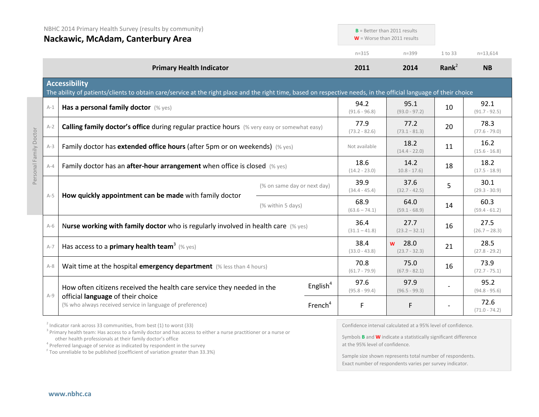|                        | NBHC 2014 Primary Health Survey (results by community)<br>Nackawic, McAdam, Canterbury Area |                                                                                                                                                                                           | $B =$ Better than 2011 results<br>$W =$ Worse than 2011 results |                         |                                     |           |                         |
|------------------------|---------------------------------------------------------------------------------------------|-------------------------------------------------------------------------------------------------------------------------------------------------------------------------------------------|-----------------------------------------------------------------|-------------------------|-------------------------------------|-----------|-------------------------|
|                        |                                                                                             |                                                                                                                                                                                           |                                                                 | $n = 315$               | $n = 399$                           | 1 to 33   | $n=13,614$              |
|                        | <b>Primary Health Indicator</b>                                                             |                                                                                                                                                                                           | 2011                                                            | 2014                    | Rank <sup>2</sup>                   | <b>NB</b> |                         |
|                        |                                                                                             | <b>Accessibility</b><br>The ability of patients/clients to obtain care/service at the right place and the right time, based on respective needs, in the official language of their choice |                                                                 |                         |                                     |           |                         |
|                        | $A-1$                                                                                       | Has a personal family doctor (% yes)                                                                                                                                                      |                                                                 | 94.2<br>$(91.6 - 96.8)$ | 95.1<br>$(93.0 - 97.2)$             | 10        | 92.1<br>$(91.7 - 92.5)$ |
|                        | $A-2$                                                                                       | Calling family doctor's office during regular practice hours (% very easy or somewhat easy)                                                                                               |                                                                 |                         | 77.2<br>$(73.1 - 81.3)$             | 20        | 78.3<br>$(77.6 - 79.0)$ |
| Personal Family Doctor | $A-3$                                                                                       | Family doctor has extended office hours (after 5pm or on weekends) (% yes)                                                                                                                |                                                                 |                         | 18.2<br>$(14.4 - 22.0)$             | 11        | 16.2<br>$(15.6 - 16.8)$ |
|                        | $A - 4$                                                                                     | Family doctor has an <b>after-hour arrangement</b> when office is closed $(\%$ yes)                                                                                                       |                                                                 | 18.6<br>$(14.2 - 23.0)$ | 14.2<br>$10.8 - 17.6$               | 18        | 18.2<br>$(17.5 - 18.9)$ |
|                        | $A-5$                                                                                       | How quickly appointment can be made with family doctor                                                                                                                                    | (% on same day or next day)                                     | 39.9<br>$(34.4 - 45.4)$ | 37.6<br>$(32.7 - 42.5)$             | 5         | 30.1<br>$(29.3 - 30.9)$ |
|                        |                                                                                             | (% within 5 days)                                                                                                                                                                         |                                                                 | 68.9<br>$(63.6 - 74.1)$ | 64.0<br>$(59.1 - 68.9)$             | 14        | 60.3<br>$(59.4 - 61.2)$ |
|                        | $A-6$                                                                                       | Nurse working with family doctor who is regularly involved in health care (% yes)                                                                                                         |                                                                 | 36.4<br>$(31.1 - 41.8)$ | 27.7<br>$(23.2 - 32.1)$             | 16        | 27.5<br>$(26.7 - 28.3)$ |
|                        | $A-7$                                                                                       | Has access to a <b>primary health team<sup>3</sup></b> (% yes)                                                                                                                            |                                                                 | 38.4<br>$(33.0 - 43.8)$ | 28.0<br><b>W</b><br>$(23.7 - 32.3)$ | 21        | 28.5<br>$(27.8 - 29.2)$ |
|                        | $A-8$                                                                                       | Wait time at the hospital emergency department (% less than 4 hours)                                                                                                                      |                                                                 | 70.8<br>$(61.7 - 79.9)$ | 75.0<br>$(67.9 - 82.1)$             | 16        | 73.9<br>$(72.7 - 75.1)$ |
|                        | $A-9$                                                                                       | How often citizens received the health care service they needed in the                                                                                                                    | English $4$                                                     | 97.6<br>$(95.8 - 99.4)$ | 97.9<br>$(96.5 - 99.3)$             |           | 95.2<br>$(94.8 - 95.6)$ |
|                        |                                                                                             | official language of their choice<br>(% who always received service in language of preference)                                                                                            | French <sup>4</sup>                                             | $\mathsf F$             | F                                   |           | 72.6<br>$(71.0 - 74.2)$ |

 $2$  Indicator rank across 33 communities, from best (1) to worst (33)

<sup>3</sup> Primary health team: Has access to a family doctor and has access to either a nurse practitioner or a nurse or other health professionals at their family doctor's office

<sup>4</sup> Preferred language of service as indicated by respondent in the survey

<sup>F</sup> Too unreliable to be published (coefficient of variation greater than 33.3%)

Confidence interval calculated at a 95% level of confidence.

Symbols **B** and **W** indicate a statistically significant difference at the 95% level of confidence.

Sample size shown represents total number of respondents. Exact number of respondents varies per survey indicator.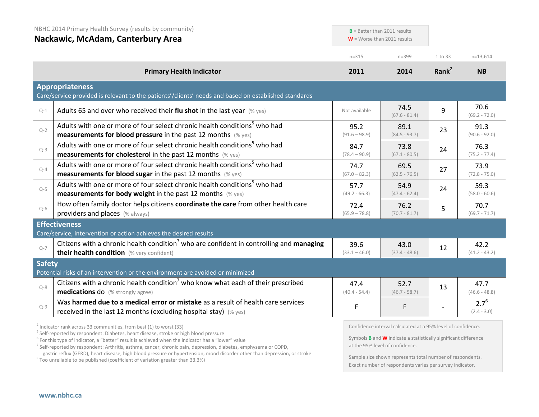| NBHC 2014 Primary Health Survey (results by community)<br>Nackawic, McAdam, Canterbury Area |                                                                                                                                                                                                                       | $B =$ Better than 2011 results<br>$W =$ Worse than 2011 results |                         |          |                            |
|---------------------------------------------------------------------------------------------|-----------------------------------------------------------------------------------------------------------------------------------------------------------------------------------------------------------------------|-----------------------------------------------------------------|-------------------------|----------|----------------------------|
|                                                                                             |                                                                                                                                                                                                                       | $n = 315$                                                       | $n = 399$               | 1 to 33  | $n=13,614$                 |
|                                                                                             | <b>Primary Health Indicator</b>                                                                                                                                                                                       | 2011                                                            | 2014                    | Rank $2$ | <b>NB</b>                  |
|                                                                                             | <b>Appropriateness</b><br>Care/service provided is relevant to the patients'/clients' needs and based on established standards                                                                                        |                                                                 |                         |          |                            |
| $Q-1$                                                                                       | Adults 65 and over who received their flu shot in the last year $(\%$ yes)                                                                                                                                            | Not available                                                   | 74.5<br>$(67.6 - 81.4)$ | 9        | 70.6<br>$(69.2 - 72.0)$    |
| $Q - 2$                                                                                     | Adults with one or more of four select chronic health conditions <sup>5</sup> who had<br><b>measurements for blood pressure</b> in the past 12 months (% yes)                                                         | 95.2<br>$(91.6 - 98.9)$                                         | 89.1<br>$(84.5 - 93.7)$ | 23       | 91.3<br>$(90.6 - 92.0)$    |
| $Q-3$                                                                                       | Adults with one or more of four select chronic health conditions <sup>5</sup> who had<br><b>measurements for cholesterol</b> in the past 12 months (% yes)                                                            | 84.7<br>$(78.4 - 90.9)$                                         | 73.8<br>$(67.1 - 80.5)$ | 24       | 76.3<br>$(75.2 - 77.4)$    |
| $Q - 4$                                                                                     | Adults with one or more of four select chronic health conditions <sup>5</sup> who had<br><b>measurements for blood sugar in the past 12 months (% yes)</b>                                                            | 74.7<br>$(67.0 - 82.3)$                                         | 69.5<br>$(62.5 - 76.5)$ | 27       | 73.9<br>$(72.8 - 75.0)$    |
| $Q-5$                                                                                       | Adults with one or more of four select chronic health conditions <sup>5</sup> who had<br><b>measurements for body weight</b> in the past 12 months $(\%$ yes)                                                         | 57.7<br>$(49.2 - 66.3)$                                         | 54.9<br>$(47.4 - 62.4)$ | 24       | 59.3<br>$(58.0 - 60.6)$    |
| $Q-6$                                                                                       | How often family doctor helps citizens coordinate the care from other health care<br>providers and places (% always)                                                                                                  | 72.4<br>$(65.9 - 78.8)$                                         | 76.2<br>$(70.7 - 81.7)$ | 5        | 70.7<br>$(69.7 - 71.7)$    |
|                                                                                             | <b>Effectiveness</b>                                                                                                                                                                                                  |                                                                 |                         |          |                            |
| $Q - 7$                                                                                     | Care/service, intervention or action achieves the desired results<br>Citizens with a chronic health condition <sup>7</sup> who are confident in controlling and managing<br>their health condition (% very confident) | 39.6<br>$(33.1 - 46.0)$                                         | 43.0<br>$(37.4 - 48.6)$ | 12       | 42.2<br>$(41.2 - 43.2)$    |
| <b>Safety</b>                                                                               | Potential risks of an intervention or the environment are avoided or minimized                                                                                                                                        |                                                                 |                         |          |                            |
| $Q - 8$                                                                                     | Citizens with a chronic health condition <sup>7</sup> who know what each of their prescribed<br><b>medications do</b> (% strongly agree)                                                                              | 47.4<br>$(40.4 - 54.4)$                                         | 52.7<br>$(46.7 - 58.7)$ | 13       | 47.7<br>$(46.6 - 48.8)$    |
| $Q - 9$                                                                                     | Was harmed due to a medical error or mistake as a result of health care services<br>received in the last 12 months (excluding hospital stay) (% yes)                                                                  | F                                                               | F                       |          | $2.7^{6}$<br>$(2.4 - 3.0)$ |

<sup>2</sup> Indicator rank across 33 communities, from best (1) to worst (33)<br><sup>5</sup> Self-reported by respondent: Diabetes, heart disease, stroke or high blood pressure

<sup>6</sup> For this type of indicator, a "better" result is achieved when the indicator has a "lower" value

<sup>7</sup> Self-reported by respondent: Arthritis, asthma, cancer, chronic pain, depression, diabetes, emphysema or COPD, gastric reflux (GERD), heart disease, high blood pressure or hypertension, mood disorder other than depression, or stroke F Too unreliable to be published (coefficient of variation greater than 33.3%)

Confidence interval calculated at a 95% level of confidence.

Symbols **B** and **W** indicate a statistically significant difference at the 95% level of confidence.

Sample size shown represents total number of respondents. Exact number of respondents varies per survey indicator.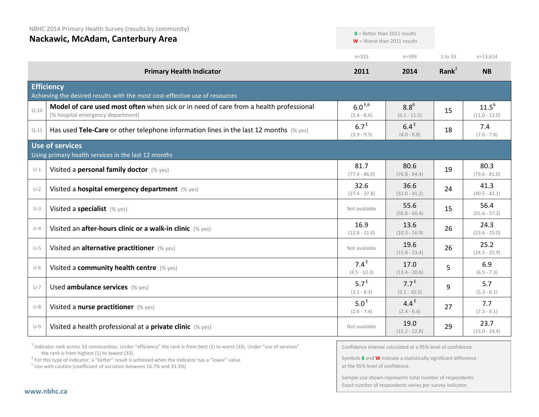| NBHC 2014 Primary Health Survey (results by community) |  |  |  |
|--------------------------------------------------------|--|--|--|
|--------------------------------------------------------|--|--|--|

**Nackawic, McAdam, Canterbury Area**

|          | Nackawic, McAdalli, Caliterbury Area                                                                                       |                                    | $W =$ Worse than 2011 results      |          |                               |
|----------|----------------------------------------------------------------------------------------------------------------------------|------------------------------------|------------------------------------|----------|-------------------------------|
|          |                                                                                                                            | $n = 315$                          | $n = 399$                          | 1 to 33  | $n=13,614$                    |
|          | <b>Primary Health Indicator</b>                                                                                            | 2011                               | 2014                               | Rank $2$ | <b>NB</b>                     |
|          | <b>Efficiency</b><br>Achieving the desired results with the most cost-effective use of resources                           |                                    |                                    |          |                               |
| $Q - 10$ | Model of care used most often when sick or in need of care from a health professional<br>(% hospital emergency department) | $6.0^{E,6}$<br>$(3.4 - 8.6)$       | $8.8^{6}$<br>$(6.1 - 11.5)$        | 15       | $11.5^{6}$<br>$(11.0 - 12.0)$ |
| $Q-11$   | Has used Tele-Care or other telephone information lines in the last 12 months $(\%$ yes)                                   | 6.7 <sup>E</sup><br>$(3.9 - 9.5)$  | 6.4 <sup>E</sup><br>$(4.0 - 8.8)$  | 18       | 7.4<br>$(7.0 - 7.8)$          |
|          | Use of services<br>Using primary health services in the last 12 months                                                     |                                    |                                    |          |                               |
| $U-1$    | Visited a personal family doctor (% yes)                                                                                   | 81.7<br>$(77.4 - 86.0)$            | 80.6<br>$(76.8 - 84.4)$            | 19       | 80.3<br>$(79.6 - 81.0)$       |
| $U-2$    | Visited a hospital emergency department (% yes)                                                                            | 32.6<br>$(27.4 - 37.8)$            | 36.6<br>$(32.0 - 41.2)$            | 24       | 41.3<br>$(40.5 - 42.1)$       |
| $U-3$    | Visited a specialist (% yes)                                                                                               | Not available                      | 55.6<br>$(50.8 - 60.4)$            | 15       | 56.4<br>$(55.6 - 57.2)$       |
| $U-4$    | Visited an after-hours clinic or a walk-in clinic (% yes)                                                                  | 16.9<br>$(12.8 - 21.0)$            | 13.6<br>$(10.3 - 16.9)$            | 26       | 24.3<br>$(23.6 - 25.0)$       |
| $U-5$    | Visited an alternative practitioner (% yes)                                                                                | Not available                      | 19.6<br>$(15.8 - 23.4)$            | 26       | 25.2<br>$(24.5 - 25.9)$       |
| $U-6$    | Visited a community health centre (% yes)                                                                                  | 7.4 <sup>E</sup><br>$(4.5 - 10.3)$ | 17.0<br>$(13.4 - 20.6)$            | 5        | 6.9<br>$(6.5 - 7.3)$          |
| $U - 7$  | Used ambulance services (% yes)                                                                                            | 5.7 <sup>E</sup><br>$(3.1 - 8.3)$  | 7.7 <sup>E</sup><br>$(5.1 - 10.3)$ | 9        | 5.7<br>$(5.3 - 6.1)$          |
| $U-8$    | Visited a nurse practitioner (% yes)                                                                                       | 5.0 <sup>E</sup><br>$(2.6 - 7.4)$  | 4.4 <sup>E</sup><br>$(2.4 - 6.4)$  | 27       | 7.7<br>$(7.3 - 8.1)$          |
| $U-9$    | Visited a health professional at a private clinic (% yes)                                                                  | Not available                      | 19.0<br>$(15.2 - 22.8)$            | 29       | 23.7<br>$(23.0 - 24.4)$       |

 $2$  Indicator rank across 33 communities. Under "efficiency" the rank is from best (1) to worst (33). Under "use of services" the rank is from highest (1) to lowest (33).

<sup>6</sup> For this type of indicator, a "better" result is achieved when the indicator has a "lower" value  $E$ <sup>E</sup> Use with caution (coefficient of variation between 16.7% and 33.3%)

Confidence interval calculated at a 95% level of confidence.

**B** = Better than 2011 results

Symbols **B** and **W** indicate a statistically significant difference at the 95% level of confidence.

Sample size shown represents total number of respondents. Exact number of respondents varies per survey indicator.